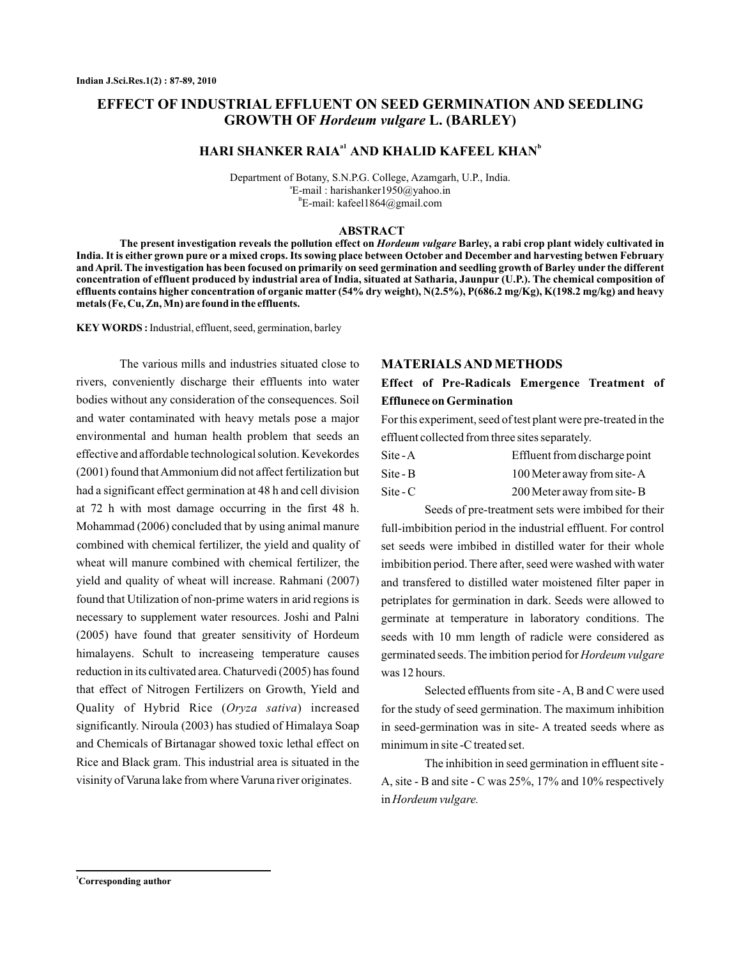# **EFFECT OF INDUSTRIAL EFFLUENT ON SEED GERMINATION AND SEEDLING GROWTH OF Hordeum vulgare L. (BARLEY)**

## $\mathbf{H}$ ARI SHANKER RAIA<sup>ai</sup> AND KHALID KAFEEL KHAN<sup>b</sup>

Department of Botany, S.N.P.G. College, Azamgarh , U.P., India. E-mail : harishanker1950@yahoo.in a <sup>B</sup>E-mail: kafeel1864@gmail.com

#### **ABSTRACT**

The present investigation reveals the pollution effect on *Hordeum vulgare* Barley, a rabi crop plant widely cultivated in **India. It is either grown pure or a mixed crops. Its sowing place between October and December and harvesting betwen February and April. The investigation has been focused on primarily on seed germination and seedling growth of Barley under the different concentration of effluent produced by industrial area of India, situated at Satharia, Jaunpur (U.P.). The chemical composition of effluents contains higher concentration of organic matter (54% dry weight), N(2.5%), P(686.2 mg/Kg), K(198.2 mg/kg) and heavy metals (Fe, Cu, Zn, Mn) are found in the effluents.**

KEY WORDS: Industrial, effluent, seed, germination, barley

Quality of Hybrid Rice (Oryza sativa) increased The various mills and industries situated close to rivers, conveniently discharge their effluents into water bodies without any consideration of the consequences. Soil and water contaminated with heavy metals pose a major environmental and human health problem that seeds an effective and affordable technological solution. Kevekordes (2001) found thatAmmonium did not affect fertilization but had a significant effect germination at 48 h and cell division at 72 h with most damage occurring in the first 48 h. Mohammad (2006) concluded that by using animal manure combined with chemical fertilizer, the yield and quality of wheat will manure combined with chemical fertilizer, the yield and quality of wheat will increase. Rahmani (2007) found that Utilization of non-prime waters in arid regions is necessary to supplement water resources. Joshi and Palni (2005) have found that greater sensitivity of Hordeum himalayens. Schult to increaseing temperature causes reduction in its cultivated area. Chaturvedi (2005) has found that effect of Nitrogen Fertilizers on Growth, Yield and significantly. Niroula (2003) has studied of Himalaya Soap and Chemicals of Birtanagar showed toxic lethal effect on Rice and Black gram. This industrial area is situated in the visinity of Varuna lake from where Varuna river originates.

#### **MATERIALS AND METHODS**

## **Effect of Pre-Radicals Emergence Treatment of Efflunece on Germination**

For this experiment, seed of test plant were pre-treated in the effluent collected from three sites separately.

| Site - A                 | Effluent from discharge point |  |  |  |
|--------------------------|-------------------------------|--|--|--|
| Site - B                 | 100 Meter away from site-A    |  |  |  |
| $\text{Site} - \text{C}$ | 200 Meter away from site-B    |  |  |  |

Seeds of pre-treatment sets were imbibed for their full-imbibition period in the industrial effluent. For control set seeds were imbibed in distilled water for their whole imbibition period. There after, seed were washed with water and transfered to distilled water moistened filter paper in petriplates for germination in dark. Seeds were allowed to germinate at temperature in laboratory conditions. The seeds with 10 mm length of radicle were considered as germinated seeds. The imbition period for *Hordeum vulgare* was 12 hours.

Selected effluents from site -A, B and C were used for the study of seed germination. The maximum inhibition in seed-germination was in site- A treated seeds where as minimum in site -C treated set.

The inhibition in seed germination in effluent site - A, site - B and site - C was 25%, 17% and 10% respectively in *Hordeum vulgare.*

**<sup>1</sup>Corresponding author**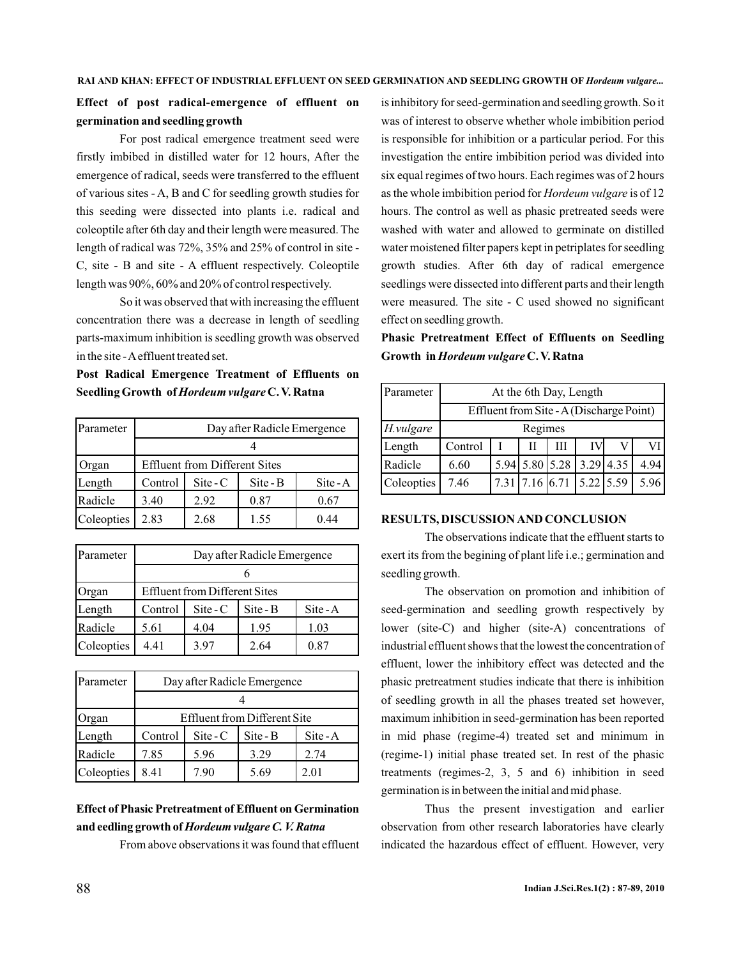## **Effect of post radical-emergence of effluent on germination and seedling growth**

For post radical emergence treatment seed were firstly imbibed in distilled water for 12 hours, After the emergence of radical, seeds were transferred to the effluent of various sites - A, B and C for seedling growth studies for this seeding were dissected into plants i.e. radical and coleoptile after 6th day and their length were measured. The length of radical was 72%, 35% and 25% of control in site - C, site - B and site - A effluent respectively. Coleoptile length was 90%, 60% and 20% of control respectively.

So it was observed that with increasing the effluent concentration there was a decrease in length of seedling parts-maximum inhibition is seedling growth was observed in the site -Aeffluent treated set.

**Post Radical Emergence Treatment of Effluents on** Seedling Growth of Hordeum vulgare C.V. Ratna

| Parameter  | Day after Radicle Emergence          |                          |          |          |  |  |
|------------|--------------------------------------|--------------------------|----------|----------|--|--|
|            |                                      |                          |          |          |  |  |
| Organ      | <b>Effluent from Different Sites</b> |                          |          |          |  |  |
| Length     | Control                              | $\text{Site} - \text{C}$ | Site - B | $Site-A$ |  |  |
| Radicle    | 3.40                                 | 2.92                     | 0.87     | 0.67     |  |  |
| Coleopties | 2.83                                 | 2.68                     | 1.55     | 0.44     |  |  |

| Parameter  | Day after Radicle Emergence          |          |          |            |  |
|------------|--------------------------------------|----------|----------|------------|--|
|            |                                      |          |          |            |  |
| Organ      | <b>Effluent from Different Sites</b> |          |          |            |  |
| Length     | Control                              | $Site-C$ | Site - B | $Site - A$ |  |
| Radicle    | 5.61                                 | 4.04     | 1.95     | 1.03       |  |
| Coleopties | 4.41                                 | 3.97     | 2.64     | 0.87       |  |

| Parameter  | Day after Radicle Emergence         |                          |          |            |  |
|------------|-------------------------------------|--------------------------|----------|------------|--|
|            |                                     |                          |          |            |  |
| Organ      | <b>Effluent from Different Site</b> |                          |          |            |  |
| Length     | Control                             | $\text{Site} - \text{C}$ | Site - B | $Site - A$ |  |
| Radicle    | 7.85                                | 5.96                     | 3.29     | 2.74       |  |
| Coleopties | 8.41                                | 7.90                     | 5.69     | 2.01       |  |

# **Effect of Phasic Pretreatment of Effluent on Germination and eedling growth of** *Hordeum vulgare C. V. Ratna*

From above observations it was found that effluent

is inhibitory for seed-germination and seedling growth. So it was of interest to observe whether whole imbibition period is responsible for inhibition or a particular period. For this investigation the entire imbibition period was divided into six equal regimes of two hours. Each regimes was of 2 hours as the whole imbibition period for *Hordeum vulgare* is of 12 hours. The control as well as phasic pretreated seeds were washed with water and allowed to germinate on distilled water moistened filter papers kept in petriplates for seedling growth studies. After 6th day of radical emergence seedlings were dissected into different parts and their length were measured. The site - C used showed no significant effect on seedling growth.

**Phasic Pretreatment Effect of Effluents on Seedling Growth in Hordeum vulgare C. V. Ratna** 

| Parameter  | At the 6th Day, Length                   |  |                |   |           |      |      |
|------------|------------------------------------------|--|----------------|---|-----------|------|------|
|            | Effluent from Site - A (Discharge Point) |  |                |   |           |      |      |
| H.vulgare  | Regimes                                  |  |                |   |           |      |      |
| Length     | Control                                  |  | Н              | Ш |           | V    | VI   |
| Radicle    | 6.60                                     |  | 5.94 5.80 5.28 |   | 3.29      | 4.35 | 4.94 |
| Coleopties | 7.46                                     |  | 7.31 7.16 6.71 |   | 5.22 5.59 |      | 5.96 |

### **RESULTS, DISCUSSION AND CONCLUSION**

The observations indicate that the effluent starts to exert its from the begining of plant life i.e.; germination and seedling growth.

The observation on promotion and inhibition of seed-germination and seedling growth respectively by lower (site-C) and higher (site-A) concentrations of industrial effluent shows that the lowest the concentration of effluent, lower the inhibitory effect was detected and the phasic pretreatment studies indicate that there is inhibition of seedling growth in all the phases treated set however, maximum inhibition in seed-germination has been reported in mid phase (regime-4) treated set and minimum in (regime-1) initial phase treated set. In rest of the phasic treatments (regimes-2, 3, 5 and 6) inhibition in seed germination is in between the initial and mid phase.

Thus the present investigation and earlier observation from other research laboratories have clearly indicated the hazardous effect of effluent. However, very